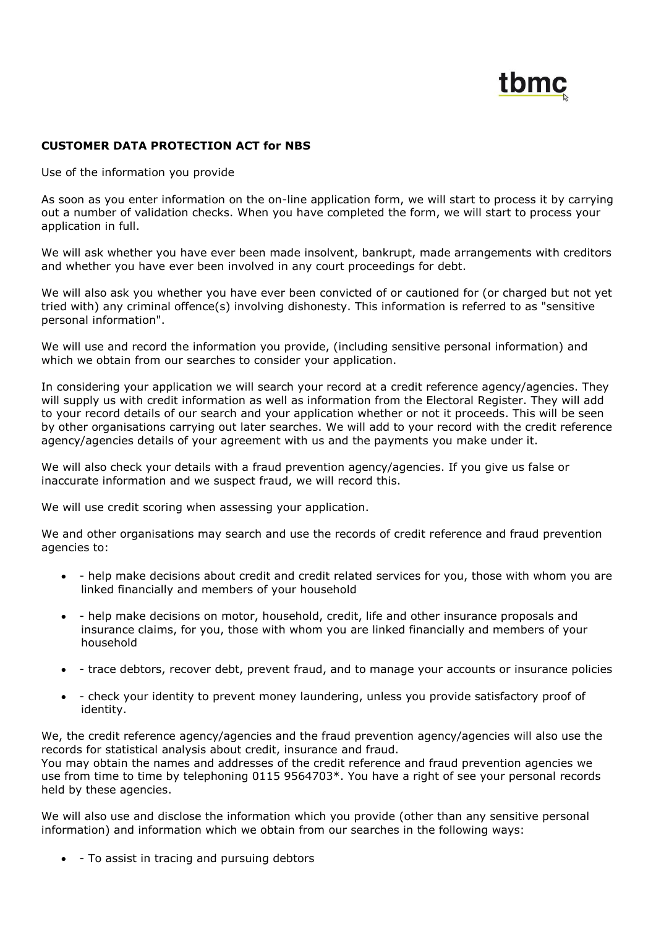

## **CUSTOMER DATA PROTECTION ACT for NBS**

Use of the information you provide

As soon as you enter information on the on-line application form, we will start to process it by carrying out a number of validation checks. When you have completed the form, we will start to process your application in full.

We will ask whether you have ever been made insolvent, bankrupt, made arrangements with creditors and whether you have ever been involved in any court proceedings for debt.

We will also ask you whether you have ever been convicted of or cautioned for (or charged but not yet tried with) any criminal offence(s) involving dishonesty. This information is referred to as "sensitive personal information".

We will use and record the information you provide, (including sensitive personal information) and which we obtain from our searches to consider your application.

In considering your application we will search your record at a credit reference agency/agencies. They will supply us with credit information as well as information from the Electoral Register. They will add to your record details of our search and your application whether or not it proceeds. This will be seen by other organisations carrying out later searches. We will add to your record with the credit reference agency/agencies details of your agreement with us and the payments you make under it.

We will also check your details with a fraud prevention agency/agencies. If you give us false or inaccurate information and we suspect fraud, we will record this.

We will use credit scoring when assessing your application.

We and other organisations may search and use the records of credit reference and fraud prevention agencies to:

- help make decisions about credit and credit related services for you, those with whom you are linked financially and members of your household
- help make decisions on motor, household, credit, life and other insurance proposals and insurance claims, for you, those with whom you are linked financially and members of your household
- trace debtors, recover debt, prevent fraud, and to manage your accounts or insurance policies
- check your identity to prevent money laundering, unless you provide satisfactory proof of identity.

We, the credit reference agency/agencies and the fraud prevention agency/agencies will also use the records for statistical analysis about credit, insurance and fraud. You may obtain the names and addresses of the credit reference and fraud prevention agencies we use from time to time by telephoning 0115 9564703\*. You have a right of see your personal records held by these agencies.

We will also use and disclose the information which you provide (other than any sensitive personal information) and information which we obtain from our searches in the following ways:

• - To assist in tracing and pursuing debtors